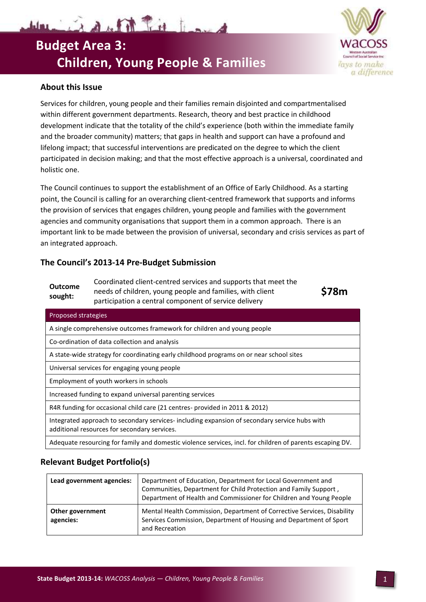# Waring a of the first formed **Budget Area 3: Children, Young People & Families**



## **About this Issue**

Services for children, young people and their families remain disjointed and compartmentalised within different government departments. Research, theory and best practice in childhood development indicate that the totality of the child's experience (both within the immediate family and the broader community) matters; that gaps in health and support can have a profound and lifelong impact; that successful interventions are predicated on the degree to which the client participated in decision making; and that the most effective approach is a universal, coordinated and holistic one.

The Council continues to support the establishment of an Office of Early Childhood. As a starting point, the Council is calling for an overarching client-centred framework that supports and informs the provision of services that engages children, young people and families with the government agencies and community organisations that support them in a common approach. There is an important link to be made between the provision of universal, secondary and crisis services as part of an integrated approach.

## **The Council's 2013-14 Pre-Budget Submission**

| <b>Outcome</b><br>sought: | Coordinated client-centred services and supports that meet the |
|---------------------------|----------------------------------------------------------------|
|                           | needs of children, young people and families, with client      |
|                           | participation a central component of service delivery          |

**\$78m**

| Proposed strategies                                                                                                                           |  |  |
|-----------------------------------------------------------------------------------------------------------------------------------------------|--|--|
| A single comprehensive outcomes framework for children and young people                                                                       |  |  |
| Co-ordination of data collection and analysis                                                                                                 |  |  |
| A state-wide strategy for coordinating early childhood programs on or near school sites                                                       |  |  |
| Universal services for engaging young people                                                                                                  |  |  |
| Employment of youth workers in schools                                                                                                        |  |  |
| Increased funding to expand universal parenting services                                                                                      |  |  |
| R4R funding for occasional child care (21 centres- provided in 2011 & 2012)                                                                   |  |  |
| Integrated approach to secondary services- including expansion of secondary service hubs with<br>additional resources for secondary services. |  |  |

Adequate resourcing for family and domestic violence services, incl. for children of parents escaping DV.

## **Relevant Budget Portfolio(s)**

| Lead government agencies:     | Department of Education, Department for Local Government and<br>Communities, Department for Child Protection and Family Support,<br>Department of Health and Commissioner for Children and Young People |
|-------------------------------|---------------------------------------------------------------------------------------------------------------------------------------------------------------------------------------------------------|
| Other government<br>agencies: | Mental Health Commission, Department of Corrective Services, Disability<br>Services Commission, Department of Housing and Department of Sport<br>and Recreation                                         |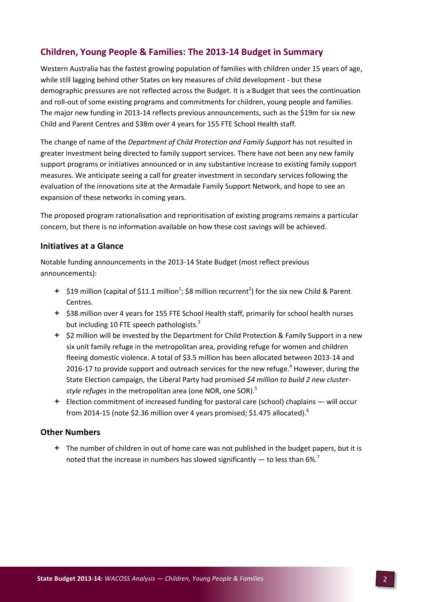# **Children, Young People & Families: The 2013-14 Budget in Summary**

Western Australia has the fastest growing population of families with children under 15 years of age, while still lagging behind other States on key measures of child development - but these demographic pressures are not reflected across the Budget. It is a Budget that sees the continuation and roll-out of some existing programs and commitments for children, young people and families. The major new funding in 2013-14 reflects previous announcements, such as the \$19m for six new Child and Parent Centres and \$38m over 4 years for 155 FTE School Health staff.

The change of name of the *Department of Child Protection and Family Support* has not resulted in greater investment being directed to family support services. There have not been any new family support programs or initiatives announced or in any substantive increase to existing family support measures. We anticipate seeing a call for greater investment in secondary services following the evaluation of the innovations site at the Armadale Family Support Network, and hope to see an expansion of these networks in coming years.

The proposed program rationalisation and reprioritisation of existing programs remains a particular concern, but there is no information available on how these cost savings will be achieved.

### **Initiatives at a Glance**

Notable funding announcements in the 2013-14 State Budget (most reflect previous announcements):

- $\div$  \$19 million (capital of \$11.1 million<sup>1</sup>; \$8 million recurrent<sup>2</sup>) for the six new Child & Parent Centres.
- $+$  \$38 million over 4 years for 155 FTE School Health staff, primarily for school health nurses but including 10 FTE speech pathologists.<sup>3</sup>
- $\div$  \$2 million will be invested by the Department for Child Protection & Family Support in a new six unit family refuge in the metropolitan area, providing refuge for women and children fleeing domestic violence. A total of \$3.5 million has been allocated between 2013-14 and 2016-17 to provide support and outreach services for the new refuge.<sup>4</sup> However, during the State Election campaign, the Liberal Party had promised *\$4 million to build 2 new clusterstyle refuges* in the metropolitan area (one NOR, one SOR).<sup>5</sup>
- $\div$  Election commitment of increased funding for pastoral care (school) chaplains will occur from 2014-15 (note \$2.36 million over 4 years promised; \$1.475 allocated).<sup>6</sup>

#### **Other Numbers**

 $\triangleq$  The number of children in out of home care was not published in the budget papers, but it is noted that the increase in numbers has slowed significantly  $-$  to less than 6%.<sup>7</sup>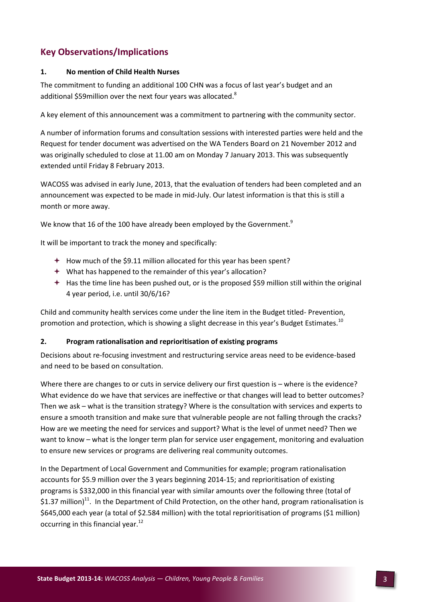# **Key Observations/Implications**

#### **1. No mention of Child Health Nurses**

The commitment to funding an additional 100 CHN was a focus of last year's budget and an additional \$59million over the next four years was allocated.<sup>8</sup>

A key element of this announcement was a commitment to partnering with the community sector.

A number of information forums and consultation sessions with interested parties were held and the Request for tender document was advertised on the WA Tenders Board on 21 November 2012 and was originally scheduled to close at 11.00 am on Monday 7 January 2013. This was subsequently extended until Friday 8 February 2013.

WACOSS was advised in early June, 2013, that the evaluation of tenders had been completed and an announcement was expected to be made in mid-July. Our latest information is that this is still a month or more away.

We know that 16 of the 100 have already been employed by the Government. $^{9}$ 

It will be important to track the money and specifically:

- $+$  How much of the \$9.11 million allocated for this year has been spent?
- What has happened to the remainder of this year's allocation?
- $\div$  Has the time line has been pushed out, or is the proposed \$59 million still within the original 4 year period, i.e. until 30/6/16?

Child and community health services come under the line item in the Budget titled- Prevention, promotion and protection, which is showing a slight decrease in this year's Budget Estimates.<sup>10</sup>

#### **2. Program rationalisation and reprioritisation of existing programs**

Decisions about re-focusing investment and restructuring service areas need to be evidence-based and need to be based on consultation.

Where there are changes to or cuts in service delivery our first question is – where is the evidence? What evidence do we have that services are ineffective or that changes will lead to better outcomes? Then we ask – what is the transition strategy? Where is the consultation with services and experts to ensure a smooth transition and make sure that vulnerable people are not falling through the cracks? How are we meeting the need for services and support? What is the level of unmet need? Then we want to know – what is the longer term plan for service user engagement, monitoring and evaluation to ensure new services or programs are delivering real community outcomes.

In the Department of Local Government and Communities for example; program rationalisation accounts for \$5.9 million over the 3 years beginning 2014-15; and reprioritisation of existing programs is \$332,000 in this financial year with similar amounts over the following three (total of \$1.37 million)<sup>11</sup>. In the Department of Child Protection, on the other hand, program rationalisation is \$645,000 each year (a total of \$2.584 million) with the total reprioritisation of programs (\$1 million) occurring in this financial year. $^{12}$